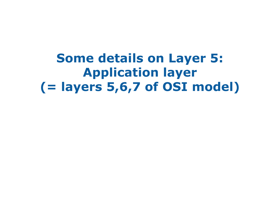**Some details on Layer 5: Application layer (= layers 5,6,7 of OSI model)**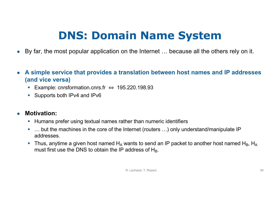### **DNS: Domain Name System**

- By far, the most popular application on the Internet … because all the others rely on it.
- **A simple service that provides a translation between host names and IP addresses (and vice versa)**
	- § Example: cnrsformation.cnrs.fr ⇔ 195.220.198.93
	- Supports both IPv4 and IPv6

### ● **Motivation:**

- Humans prefer using textual names rather than numeric identifiers
- ... but the machines in the core of the Internet (routers ...) only understand/manipulate IP addresses.
- **•** Thus, anytime a given host named  $H_A$  wants to send an IP packet to another host named  $H_B$ ,  $H_A$ must first use the DNS to obtain the IP address of  $H_B$ .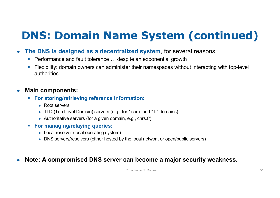### **DNS: Domain Name System (continued)**

- **The DNS is designed as a decentralized system**, for several reasons:
	- Performance and fault tolerance ... despite an exponential growth
	- Flexibility: domain owners can administer their namespaces without interacting with top-level authorities

#### ● **Main components:**

- § **For storing/retrieving reference information:**
	- Root servers
	- TLD (Top Level Domain) servers (e.g., for ".com" and ".fr" domains)
	- Authoritative servers (for a given domain, e.g., cnrs.fr)
- § **For managing/relaying queries:**
	- Local resolver (local operating system)
	- DNS servers/resolvers (either hosted by the local network or open/public servers)

#### ● **Note: A compromised DNS server can become a major security weakness.**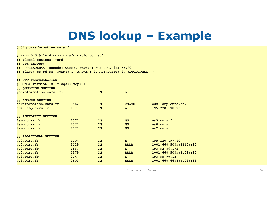### **DNS lookup – Example**

| \$ dig cnrsformation.cnrs.fr                                                                                                                                                                                                     |              |          |                              |                                     |
|----------------------------------------------------------------------------------------------------------------------------------------------------------------------------------------------------------------------------------|--------------|----------|------------------------------|-------------------------------------|
| $:$ <<>> DiG 9.10.6 <<>> cnrsformation.cnrs.fr<br>:: global options: +cmd<br>:: Got answer:<br>;; ->>HEADER<<- opcode: QUERY, status: NOERROR, id: 55092<br>;; flags: qr rd ra; QUERY: 1, ANSWER: 2, AUTHORITY: 3, ADDITIONAL: 7 |              |          |                              |                                     |
| :: OPT PSEUDOSECTION:                                                                                                                                                                                                            |              |          |                              |                                     |
| ; EDNS: version: 0, flags:; udp: 1280                                                                                                                                                                                            |              |          |                              |                                     |
| :: QUESTION SECTION:                                                                                                                                                                                                             |              |          |                              |                                     |
| ; cnrsformation. cnrs. fr.                                                                                                                                                                                                       |              | IN       | $\mathbf{A}$                 |                                     |
| :: ANSWER SECTION:<br>cnrsformation.cnrs.fr.<br>ods.lamp.cnrs.fr.                                                                                                                                                                | 3562<br>1371 | IN<br>IN | <b>CNAME</b><br>$\mathbf{A}$ | ods.lamp.cnrs.fr.<br>195.220.198.93 |
| :: AUTHORITY SECTION:                                                                                                                                                                                                            |              |          |                              |                                     |
| lamp.cnrs.fr.                                                                                                                                                                                                                    | 1371         | IN       | <b>NS</b>                    | ns3.cnrs.fr.                        |
| lamp.cnrs.fr.                                                                                                                                                                                                                    | 1371         | IN       | <b>NS</b>                    | ns0.cnrs.fr.                        |
| lamp.cnrs.fr.                                                                                                                                                                                                                    | 1371         | IN       | <b>NS</b>                    | ns2.cnrs.fr.                        |
| : ; ADDITIONAL SECTION:                                                                                                                                                                                                          |              |          |                              |                                     |
| ns0.cnrs.fr.                                                                                                                                                                                                                     | 1104         | IN       | $\mathbf{A}$                 | 195.220.197.10                      |
| ns0.cnrs.fr.                                                                                                                                                                                                                     | 3129         | IN       | <b>AAAA</b>                  | 2001:660:500a:2210::10              |
| ns2.cnrs.fr.                                                                                                                                                                                                                     | 1567         | IN       | $\mathbf{A}$                 | 193.52.36.172                       |
| ns2.cnrs.fr.                                                                                                                                                                                                                     | 1579         | IN       | <b>AAAA</b>                  | 2001:660:500a:2103::10              |
| ns3.cnrs.fr.                                                                                                                                                                                                                     | 924          | IN       | $\mathbf{A}$                 | 193.55.90.12                        |
| ns3.cnrs.fr.                                                                                                                                                                                                                     | 2903         | IN       | <b>AAAA</b>                  | 2001:660:6608:5106::12              |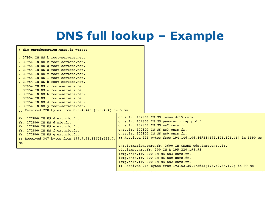### **DNS full lookup – Example**

| \$ dig cnrsformation.cnrs.fr +trace                                                                                                                                                                                                                                                                                                                                                                                                                                                                                                                        |                                                                                                                                                                                                                                                                                                                                                                                                                                                                                                                                                                                             |
|------------------------------------------------------------------------------------------------------------------------------------------------------------------------------------------------------------------------------------------------------------------------------------------------------------------------------------------------------------------------------------------------------------------------------------------------------------------------------------------------------------------------------------------------------------|---------------------------------------------------------------------------------------------------------------------------------------------------------------------------------------------------------------------------------------------------------------------------------------------------------------------------------------------------------------------------------------------------------------------------------------------------------------------------------------------------------------------------------------------------------------------------------------------|
| . 37954 IN NS k.root-servers.net.<br>. 37954 IN NS m.root-servers.net.<br>. 37954 IN NS g.root-servers.net.<br>. 37954 IN NS a.root-servers.net.<br>. 37954 IN NS f.root-servers.net.<br>. 37954 IN NS 1. root-servers.net.<br>. 37954 IN NS b.root-servers.net.<br>. 37954 IN NS c.root-servers.net.<br>. 37954 IN NS e.root-servers.net.<br>. 37954 IN NS h.root-servers.net.<br>. 37954 IN NS i.root-servers.net.<br>. 37954 IN NS d.root-servers.net.<br>. 37954 IN NS j.root-servers.net.<br>;; Received 228 bytes from $8.8.4.4#53(8.8.4.4)$ in 5 ms |                                                                                                                                                                                                                                                                                                                                                                                                                                                                                                                                                                                             |
| fr. 172800 IN NS d.ext.nic.fr.<br>fr. 172800 IN NS d.nic.fr.<br>fr. 172800 IN NS e.ext.nic.fr.<br>fr. 172800 IN NS f.ext.nic.fr.<br>fr. 172800 IN NS g.ext.nic.fr.<br>;; Received 347 bytes from 199.7.91.13#53(199.7.<br>ms                                                                                                                                                                                                                                                                                                                               | cnrs.fr. 172800 IN NS camus.dr15.cnrs.fr.<br>cnrs.fr. 172800 IN NS panoramix.rap.prd.fr.<br>cnrs.fr. 172800 IN NS ns2.cnrs.fr.<br>cnrs.fr. 172800 IN NS ns3.cnrs.fr.<br>cnrs.fr. 172800 IN NS ns0.cnrs.fr.<br>;; Received 335 bytes from 194.146.106.46#53(194.146.106.46) in 5590 ms<br>cnrsformation.cnrs.fr. 3600 IN CNAME ods.lamp.cnrs.fr.<br>ods.lamp.cnrs.fr. 300 IN A 195.220.198.93<br>lamp.cnrs.fr. 300 IN NS ns3.cnrs.fr.<br>lamp.cnrs.fr. 300 IN NS ns0.cnrs.fr.<br>lamp.cnrs.fr. 300 IN NS ns2.cnrs.fr.<br>;; Received 264 bytes from 193.52.36.172#53(193.52.36.172) in 99 ms |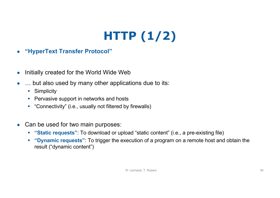# **HTTP (1/2)**

- **"HyperText Transfer Protocol"**
- Initially created for the World Wide Web
- ... but also used by many other applications due to its:
	- Simplicity
	- Pervasive support in networks and hosts
	- "Connectivity" (i.e., usually not filtered by firewalls)
- Can be used for two main purposes:
	- § **"Static requests"**: To download or upload "static content" (i.e., a pre-existing file)
	- § **"Dynamic requests"**: To trigger the execution of a program on a remote host and obtain the result ("dynamic content")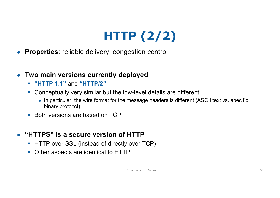# **HTTP (2/2)**

- **Properties**: reliable delivery, congestion control
- **Two main versions currently deployed**
	- § **"HTTP 1.1"** and **"HTTP/2"**
	- Conceptually very similar but the low-level details are different
		- In particular, the wire format for the message headers is different (ASCII text vs. specific binary protocol)
	- Both versions are based on TCP
- **"HTTPS" is a secure version of HTTP**
	- HTTP over SSL (instead of directly over TCP)
	- Other aspects are identical to HTTP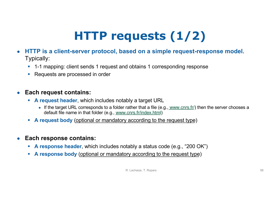# **HTTP requests (1/2)**

- **HTTP is a client-server protocol, based on a simple request-response model.** Typically:
	- 1-1 mapping: client sends 1 request and obtains 1 corresponding response
	- Requests are processed in order

#### ● **Each request contains:**

- § **A request header**, which includes notably a target URL
	- If the target URL corresponds to a folder rather that a file (e.[g., www.cnrs.](http://www.cnrs.fr/)fr/) then the server chooses a default file name in that folder (e.[g., www.cnrs.fr/index.ht](http://www.cnrs.fr/index.html)ml)
- § **A request body** (optional or mandatory according to the request type)
- **Each response contains:** 
	- § **A response header**, which includes notably a status code (e.g., "200 OK")
	- § **A response body** (optional or mandatory according to the request type)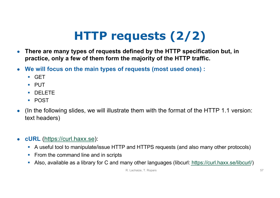# **HTTP requests (2/2)**

- **There are many types of requests defined by the HTTP specification but, in practice, only a few of them form the majority of the HTTP traffic.**
- **We will focus on the main types of requests (most used ones) :**
	- § GET
	- § PUT
	- DELETE
	- § POST
- (In the following slides, we will illustrate them with the format of the HTTP 1.1 version: text headers)
- **cURL** [\(https://curl.haxx.s](https://curl.haxx.se/)e):
	- A useful tool to manipulate/issue HTTP and HTTPS requests (and also many other protocols)
	- From the command line and in scripts
	- Also, available as a library for C and many other languages (libcu[rl: https://curl.haxx.se/libcu](https://curl.haxx.se/libcurl/)rl/)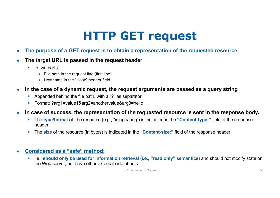### **HTTP GET request**

- **The purpose of a GET request is to obtain a representation of the requested resource.**
- **The target URL is passed in the request header** 
	- In two parts:
		- File path in the request line (first line)
		- Hostname in the "Host:" header field
- **In the case of a dynamic request, the request arguments are passed as a query string**
	- § Appended behind the file path, with a "?" as separator
	- § Format: ?arg1=value1&arg2=anothervalue&arg3=hello
- **In case of success, the representation of the requested resource is sent in the response body.**
	- § The **type/format** of the resource (e.g., "image/jpeg") is indicated in the **"Content-type:"** field of the response header
	- § The **size** of the resource (in bytes) is indicated in the **"Content-size:"** field of the response header
- **Considered as a "safe" method:**
	- § i.e., **should only be used for information retrieval (i.e., "read only" semantics)** and should not modify state on the Web server, nor have other external side effects.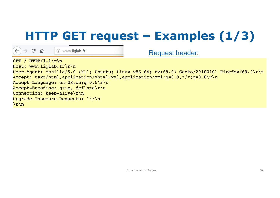# **HTTP GET request – Examples (1/3)**

 $\rightarrow$  C  $\hat{\omega}$ 

10 www.liglab.fr

**GET / HTTP/1.1\r\n** Host: www.liglab.fr\r\n User-Agent: Mozilla/5.0 (X11; Ubuntu; Linux x86 64; rv:69.0) Gecko/20100101 Firefox/69.0\r\n Accept: text/html,application/xhtml+xml,application/xml;q=0.9,\*/\*;q=0.8\r\n Accept-Language: en-US,en;q=0.5\r\n Accept-Encoding: gzip, deflate\r\n Connection: keep-alive\r\n Upgrade-Insecure-Requests: 1\r\n **\r\n** Request header: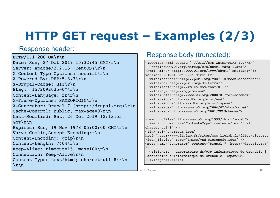# **HTTP GET request – Examples (2/3)**

**HTTP/1.1 200 OK\r\n** Date: Sun, 27 Oct 2019 10:32:45 GMT\r\n Server: Apache/2.2.15 (CentOS)\r\n X-Content-Type-Options: nosniff\r\n  $X-Powered-By: PHP/5.3.3\r\n\$ X-Drupal-Cache: HIT\r\n Etag: "1572092035-0"\r\n Content-Language: fr\r\n X-Frame-Options: SAMEORIGIN\r\n X-Generator: Drupal 7 (http://drupal.org)\r\n Cache-Control: public, max-age=0\r\n Last-Modified: Sat, 26 Oct 2019 12:13:55 GMT\r\n Expires: Sun, 19 Nov 1978 05:00:00 GMT\r\n Vary: Cookie,Accept-Encoding\r\n Content-Encoding: gzip\r\n Content-Length: 7404\r\n Keep-Alive: timeout=15, max=100\r\n Connection: Keep-Alive\r\n Content-Type: text/html; charset=utf-8\r\n **\r\n**

### Response header:<br>
TR/1 1.200.0K\r\n

<!DOCTYPE html PUBLIC "-//W3C//DTD XHTML+RDFa 1.0//EN" "http://www.w3.org/MarkUp/DTD/xhtml-rdfa-1.dtd"> <html xmlns="http://www.w3.org/1999/xhtml" xml:lang="fr" version="XHTML+RDFa 1.0" dir="ltr" xmlns:content="http://purl.org/rss/1.0/modules/content/" xmlns:dc="http://purl.org/dc/terms/" xmlns:foaf="http://xmlns.com/foaf/0.1/" xmlns:og="http://ogp.me/ns#" xmlns:rdfs="http://www.w3.org/2000/01/rdf-schema#" xmlns:sioc="http://rdfs.org/sioc/ns#" xmlns:sioct="http://rdfs.org/sioc/types#" xmlns:skos="http://www.w3.org/2004/02/skos/core#" xmlns:xsd="http://www.w3.org/2001/XMLSchema#">

<head profile="http://www.w3.org/1999/xhtml/vocab"> <meta http-equiv="Content-Type" content="text/html; charset=utf-8" /> <link rel="shortcut icon" href="http://www.liglab.fr/sites/www.liglab.fr/files/pictures /icon\_lig.ico" type="image/vnd.microsoft.icon" /> <meta name="Generator" content="Drupal 7 (http://drupal.org)"  $/$  $\text{title}\text{-}\text{LIG}$  - Laboratoire d' Informatique de Grenoble Laboratoire d'Informatique de Grenoble <span>UMR 5217</span></title>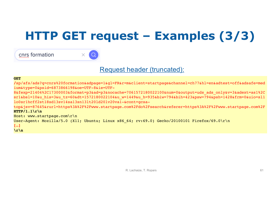# **HTTP GET request – Examples (3/3)**

cnrs formation

Request header (truncated):

#### **GET**

**/**sp/afs/ads?q=cnrs%20formation&adpage=1&gl=FR&r=m&client=startpage&channel=ch77&hl=en&adtest=off&adsafe=med ium&type=0&psid=6873866198&oe=UTF-8&ie=UTF-

8&fexp=21404%2C17300003&format=p3&ad=p3&nocache=7061572180022100&num=0&output=uds\_ads\_only&v=3&adext=as1%2C sr1&bsl=10&u\_his=3&u\_tz=60&dt=1572180022104&u\_w=1449&u\_h=935&biw=794&bih=423&psw=794&psh=1428&frm=0&uio=sl1 lo0sr1hcff2st18sd13sv14sa13sn13lt20ld20lv20va1-&cont=gcsa-

top&jsv=87645&rurl=https%3A%2F%2Fwww.startpage.com%2Fdo%2Fsearch&referer=https%3A%2F%2Fwww.startpage.com%2F **HTTP/1.1\r\n**

Host: www.startpage.com\r\n User-Agent: Mozilla/5.0 (X11; Ubuntu; Linux x86 64; rv:69.0) Gecko/20100101 Firefox/69.0\r\n **[…] \r\n**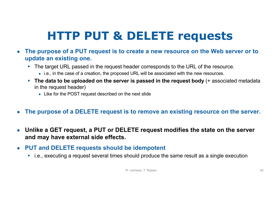# **HTTP PUT & DELETE requests**

- **The purpose of a PUT request is to create a new resource on the Web server or to update an existing one.**
	- The target URL passed in the request header corresponds to the URL of the resource.
		- i.e., in the case of a creation, the proposed URL will be associated with the new resources.
	- The data to be uploaded on the server is passed in the request body (+ associated metadata in the request header)
		- Like for the POST request described on the next slide
- The purpose of a DELETE request is to remove an existing resource on the server.
- **Unlike a GET request, a PUT or DELETE request modifies the state on the server and may have external side effects.**
- **PUT and DELETE requests should be idempotent**
	- i.e., executing a request several times should produce the same result as a single execution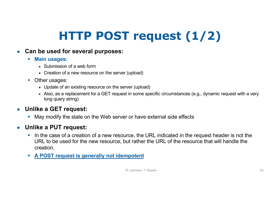# **HTTP POST request (1/2)**

#### ● **Can be used for several purposes:**

- § **Main usages:**
	- $\bullet$  Submission of a web form
	- Creation of a new resource on the server (upload)
- Other usages:
	- Update of an existing resource on the server (upload)
	- Also, as a replacement for a GET request in some specific circumstances (e.g., dynamic request with a very long query string)

### ● **Unlike a GET request:**

• May modify the state on the Web server or have external side effects

### ● **Unlike a PUT request:**

- In the case of a creation of a new resource, the URL indicated in the request header is not the URL to be used for the new resource, but rather the URL of the resource that will handle the creation.
- § **A POST request is generally not idempotent**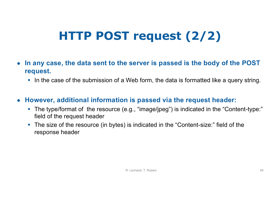# **HTTP POST request (2/2)**

- **In any case, the data sent to the server is passed is the body of the POST request.**
	- In the case of the submission of a Web form, the data is formatted like a query string.

### ● **However, additional information is passed via the request header:**

- The type/format of the resource (e.g., "image/jpeg") is indicated in the "Content-type:" field of the request header
- **•** The size of the resource (in bytes) is indicated in the "Content-size:" field of the response header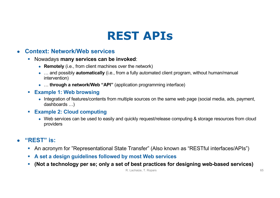### **REST APIs**

#### ● **Context: Network/Web services**

- § Nowadays **many services can be invoked**:
	- **Remotely** (i.e., from client machines over the network)
	- … and possibly **automatically** (i.e., from a fully automated client program, without human/manual intervention)
	- … **through a network/Web "API"** (application programming interface)
- § **Example 1: Web browsing**
	- Integration of features/contents from multiple sources on the same web page (social media, ads, payment, dashboards …)
- § **Example 2: Cloud computing**
	- Web services can be used to easily and quickly request/release computing & storage resources from cloud providers

#### ● **"REST" is:**

- An acronym for "Representational State Transfer" (Also known as "RESTful interfaces/APIs")
- § **A set a design guidelines followed by most Web services**
- § **(Not a technology per se; only a set of best practices for designing web-based services)**

R. Lachaize, T. Ropars 65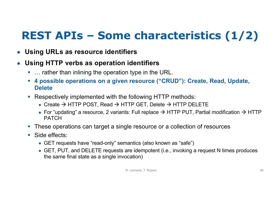### **REST APIs – Some characteristics (1/2)**

- **Using URLs as resource identifiers**
- **Using HTTP verbs as operation identifiers** 
	- ... rather than inlining the operation type in the URL.
	- § **4 possible operations on a given resource ("CRUD"): Create, Read, Update, Delete**
	- Respectively implemented with the following HTTP methods:
		- Create  $\rightarrow$  HTTP POST, Read  $\rightarrow$  HTTP GET, Delete  $\rightarrow$  HTTP DELETE
		- For "updating" a resource, 2 variants: Full replace  $\rightarrow$  HTTP PUT, Partial modification  $\rightarrow$  HTTP PATCH
	- These operations can target a single resource or a collection of resources
	- Side effects:
		- GET requests have "read-only" semantics (also known as "safe")
		- GET, PUT, and DELETE requests are idempotent (i.e., invoking a request N times produces the same final state as a single invocation)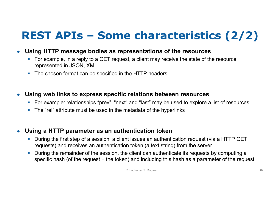### **REST APIs – Some characteristics (2/2)**

- **Using HTTP message bodies as representations of the resources**
	- For example, in a reply to a GET request, a client may receive the state of the resource represented in JSON, XML, …
	- The chosen format can be specified in the HTTP headers
- **Using web links to express specific relations between resources**
	- For example: relationships "prev", "next" and "last" may be used to explore a list of resources
	- The "rel" attribute must be used in the metadata of the hyperlinks
- **Using a HTTP parameter as an authentication token**
	- During the first step of a session, a client issues an authentication request (via a HTTP GET requests) and receives an authentication token (a text string) from the server
	- During the remainder of the session, the client can authenticate its requests by computing a specific hash (of the request + the token) and including this hash as a parameter of the request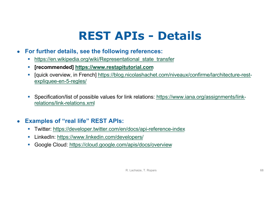### **REST APIs - Details**

- **For further details, see the following references:**
	- https://en.wikipedia.org/wiki/Representational state transfer
	- § **[recommende[d\] https://www.restapitutorial.co](https://www.restapitutorial.com/)m**
	- § [\[quick overview, in French\] https://blog.nicolashachet.com/niveaux/confirme/larchitecture-res](https://blog.nicolashachet.com/niveaux/confirme/larchitecture-rest-expliquee-en-5-regles/)texpliquee-en-5-regles/
	- § [Specification/list of possible values for link relations: https://www.iana.org/assignments/lin](https://www.iana.org/assignments/link-relations/link-relations.xml)krelations/link-relations.xml

#### ● **Examples of "real life" REST APIs:**

- § Twitt[er: https://developer.twitter.com/en/docs/api-reference-inde](https://developer.twitter.com/en/docs/api-reference-index)x
- LinkedI[n: https://www.linkedin.com/developer](https://www.linkedin.com/developers/)s/
- Google Clou[d: https://cloud.google.com/apis/docs/overvie](https://cloud.google.com/apis/docs/overview)w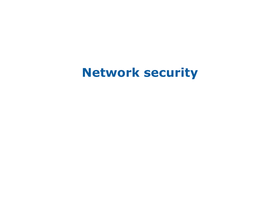### **Network security**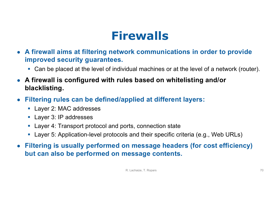### **Firewalls**

- **A firewall aims at filtering network communications in order to provide improved security guarantees.**
	- Can be placed at the level of individual machines or at the level of a network (router).
- **A firewall is configured with rules based on whitelisting and/or blacklisting.**
- **Filtering rules can be defined/applied at different layers:** 
	- Layer 2: MAC addresses
	- Layer 3: IP addresses
	- Layer 4: Transport protocol and ports, connection state
	- Layer 5: Application-level protocols and their specific criteria (e.g., Web URLs)
- **Filtering is usually performed on message headers (for cost efficiency) but can also be performed on message contents.**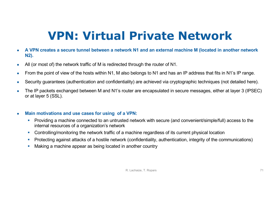# **VPN: Virtual Private Network**

- **A VPN creates a secure tunnel between a network N1 and an external machine M (located in another network N2).**
- All (or most of) the network traffic of M is redirected through the router of N1.
- From the point of view of the hosts within N1, M also belongs to N1 and has an IP address that fits in N1's IP range.
- Security guarantees (authentication and confidentiality) are achieved via cryptographic techniques (not detailed here).
- The IP packets exchanged between M and N1's router are encapsulated in secure messages, either at layer 3 (IPSEC) or at layer 5 (SSL).
- **Main motivations and use cases for using of a VPN:**
	- § Providing a machine connected to an untrusted network with secure (and convenient/simple/full) access to the internal resources of a organization's network
	- Controlling/monitoring the network traffic of a machine regardless of its current physical location
	- Protecting against attacks of a hostile network (confidentiality, authentication, integrity of the communications)
	- Making a machine appear as being located in another country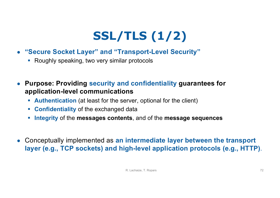# **SSL/TLS (1/2)**

- **"Secure Socket Layer" and "Transport-Level Security"**
	- Roughly speaking, two very similar protocols
- **Purpose: Providing security and confidentiality guarantees for application-level communications**
	- **Authentication** (at least for the server, optional for the client)
	- § **Confidentiality** of the exchanged data
	- § **Integrity** of the **messages contents**, and of the **message sequences**
- Conceptually implemented as **an intermediate layer between the transport layer (e.g., TCP sockets) and high-level application protocols (e.g., HTTP)**.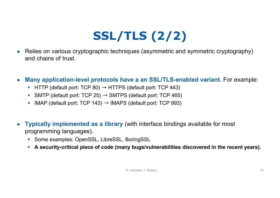# **SSL/TLS (2/2)**

- Relies on various cryptographic techniques (asymmetric and symmetric cryptography) and chains of trust.
- **Many application-level protocols have a an SSL/TLS-enabled variant.** For example:
	- **EXTED HTTP (default port: TCP 80)**  $\rightarrow$  **HTTPS (default port: TCP 443)**
	- SMTP (default port: TCP 25)  $\rightarrow$  SMTPS (default port: TCP 465)
	- IMAP (default port: TCP 143)  $\rightarrow$  IMAPS (default port: TCP 993)
- **Typically implemented as a library** (with interface bindings available for most programming languages).
	- Some examples: OpenSSL, LibreSSL, BoringSSL
	- § **A security-critical piece of code (many bugs/vulnerabilities discovered in the recent years).**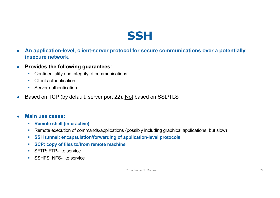### **SSH**

- **An application-level, client-server protocol for secure communications over a potentially insecure network.**
- **Provides the following guarantees:**
	- Confidentiality and integrity of communications
	- Client authentication
	- Server authentication
- Based on TCP (by default, server port 22). Not based on SSL/TLS

#### ● **Main use cases:**

- § **Remote shell (interactive)**
- Remote execution of commands/applications (possibly including graphical applications, but slow)
- § **SSH tunnel: encapsulation/forwarding of application-level protocols**
- § **SCP: copy of files to/from remote machine**
- SFTP: FTP-like service
- SSHFS: NFS-like service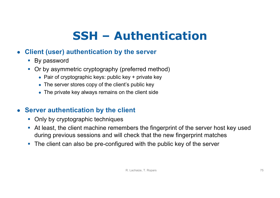# **SSH – Authentication**

### ● **Client (user) authentication by the server**

- By password
- Or by asymmetric cryptography (preferred method)
	- Pair of cryptographic keys: public key  $+$  private key
	- The server stores copy of the client's public key
	- The private key always remains on the client side

### ● **Server authentication by the client**

- Only by cryptographic techniques
- § At least, the client machine remembers the fingerprint of the server host key used during previous sessions and will check that the new fingerprint matches
- The client can also be pre-configured with the public key of the server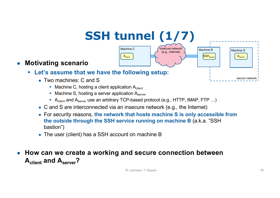# **SSH tunnel (1/7)**



### ● **Motivating scenario**

- § **Let's assume that we have the following setup:**
	- Two machines: C and S
		- Machine C, hosting a client application  $A_{client}$
		- Machine S, hosting a server application  $A<sub>server</sub>$
		- A<sub>client</sub> and  $A_{server}$  use an arbitrary TCP-based protocol (e.g., HTTP, IMAP, FTP ...)
	- C and S are interconnected via an insecure network (e.g., the Internet)
	- For security reasons, **the network that hosts machine S is only accessible from the outside through the SSH service running on machine B** (a.k.a. "SSH bastion")
	- The user (client) has a SSH account on machine B

### ● How can we create a working and secure connection between **Aclient and Aserver?**

secure network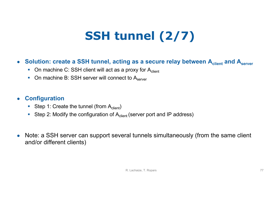# **SSH tunnel (2/7)**

### **• Solution: create a SSH tunnel, acting as a secure relay between A<sub>client</sub> and A<sub>server</sub>**

- On machine C: SSH client will act as a proxy for  $A_{client}$
- On machine B: SSH server will connect to  $A_{s\textrm{server}}$

#### ● **Configuration**

- Step 1: Create the tunnel (from  $A_{client}$ )
- Step 2: Modify the configuration of  $A<sub>client</sub>$  (server port and IP address)
- Note: a SSH server can support several tunnels simultaneously (from the same client and/or different clients)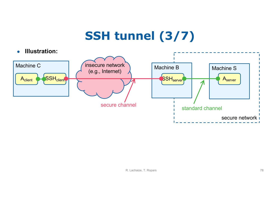# **SSH tunnel (3/7)**

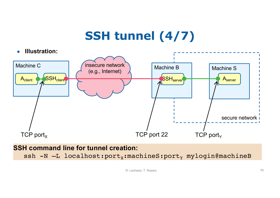# **SSH tunnel (4/7)**



**SSH command line for tunnel creation:** ssh  $-N$  -L localhost: port<sub>x</sub>: machineS: port<sub>y</sub> mylogin@machineB

R. Lachaize, T. Ropars 79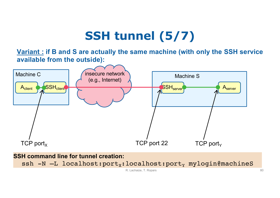## **SSH tunnel (5/7)**

**Variant : if B and S are actually the same machine (with only the SSH service available from the outside):**



#### **SSH command line for tunnel creation:**

ssh  $-N$   $-L$  localhost:port<sub>x</sub>:localhost:port<sub>y</sub> mylogin@machineS

R. Lachaize, T. Ropars 80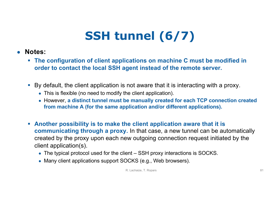# **SSH tunnel (6/7)**

- **Notes:**
	- § **The configuration of client applications on machine C must be modified in order to contact the local SSH agent instead of the remote server.**
	- By default, the client application is not aware that it is interacting with a proxy.
		- This is flexible (no need to modify the client application).
		- However, **a distinct tunnel must be manually created for each TCP connection created from machine A (for the same application and/or different applications).**
	- § **Another possibility is to make the client application aware that it is communicating through a proxy.** In that case, a new tunnel can be automatically created by the proxy upon each new outgoing connection request initiated by the client application(s).
		- The typical protocol used for the client SSH proxy interactions is SOCKS.
		- Many client applications support SOCKS (e.g., Web browsers).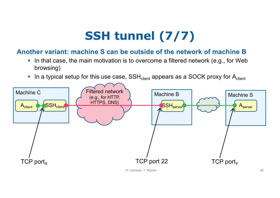# **SSH tunnel (7/7)**

#### **Another variant: machine S can be outside of the network of machine B**

- In that case, the main motivation is to overcome a filtered network (e.g., for Web browsing)
- **•** In a typical setup for this use case,  $SSH_{client}$  appears as a SOCK proxy for  $A_{client}$

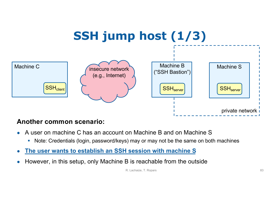

#### **Another common scenario:**

- A user on machine C has an account on Machine B and on Machine S
	- Note: Credentials (login, password/keys) may or may not be the same on both machines
- **The user wants to establish an SSH session with machine S**
- However, in this setup, only Machine B is reachable from the outside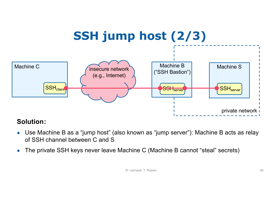

### **Solution:**

- Use Machine B as a "jump host" (also known as "jump server"): Machine B acts as relay of SSH channel between C and S
- The private SSH keys never leave Machine C (Machine B cannot "steal" secrets)